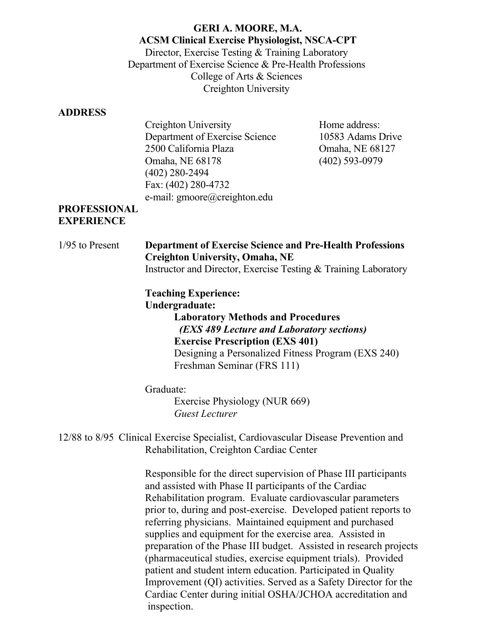#### **GERI A. MOORE, M.A. ACSM Clinical Exercise Physiologist, NSCA-CPT** Director, Exercise Testing & Training Laboratory Department of Exercise Science & Pre-Health Professions College of Arts & Sciences Creighton University

#### **ADDRESS**

| Creighton University           |
|--------------------------------|
| Department of Exercise Science |
| 2500 California Plaza          |
| Omaha, NE 68178                |
| $(402)$ 280-2494               |
| Fax: (402) 280-4732            |
| e-mail: gmoore@creighton.edu   |

Home address: 10583 Adams Drive Omaha, NE 68127 (402) 593-0979

#### **PROFESSIONAL EXPERIENCE**

1/95 to Present **Department of Exercise Science and Pre-Health Professions Creighton University, Omaha, NE**  Instructor and Director, Exercise Testing & Training Laboratory

> **Teaching Experience: Undergraduate: Laboratory Methods and Procedures**   *(EXS 489 Lecture and Laboratory sections)* **Exercise Prescription (EXS 401)** Designing a Personalized Fitness Program (EXS 240) Freshman Seminar (FRS 111)

Graduate:

Exercise Physiology (NUR 669) *Guest Lecturer*

12/88 to 8/95 Clinical Exercise Specialist, Cardiovascular Disease Prevention and Rehabilitation, Creighton Cardiac Center

> Responsible for the direct supervision of Phase III participants and assisted with Phase II participants of the Cardiac Rehabilitation program. Evaluate cardiovascular parameters prior to, during and post-exercise. Developed patient reports to referring physicians. Maintained equipment and purchased supplies and equipment for the exercise area. Assisted in preparation of the Phase III budget. Assisted in research projects (pharmaceutical studies, exercise equipment trials). Provided patient and student intern education. Participated in Quality Improvement (QI) activities. Served as a Safety Director for the Cardiac Center during initial OSHA/JCHOA accreditation and inspection.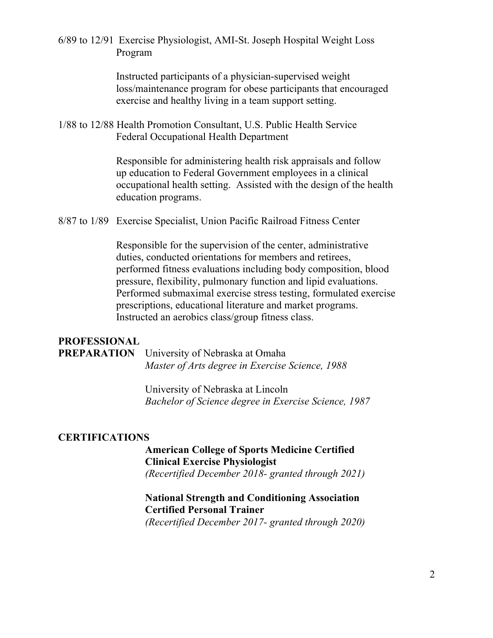6/89 to 12/91 Exercise Physiologist, AMI-St. Joseph Hospital Weight Loss Program

> Instructed participants of a physician-supervised weight loss/maintenance program for obese participants that encouraged exercise and healthy living in a team support setting.

1/88 to 12/88 Health Promotion Consultant, U.S. Public Health Service Federal Occupational Health Department

> Responsible for administering health risk appraisals and follow up education to Federal Government employees in a clinical occupational health setting. Assisted with the design of the health education programs.

8/87 to 1/89 Exercise Specialist, Union Pacific Railroad Fitness Center

Responsible for the supervision of the center, administrative duties, conducted orientations for members and retirees, performed fitness evaluations including body composition, blood pressure, flexibility, pulmonary function and lipid evaluations. Performed submaximal exercise stress testing, formulated exercise prescriptions, educational literature and market programs. Instructed an aerobics class/group fitness class.

#### **PROFESSIONAL**

**PREPARATION** University of Nebraska at Omaha *Master of Arts degree in Exercise Science, 1988*

> University of Nebraska at Lincoln *Bachelor of Science degree in Exercise Science, 1987*

#### **CERTIFICATIONS**

#### **American College of Sports Medicine Certified Clinical Exercise Physiologist**

*(Recertified December 2018- granted through 2021)*

#### **National Strength and Conditioning Association Certified Personal Trainer**

*(Recertified December 2017- granted through 2020)*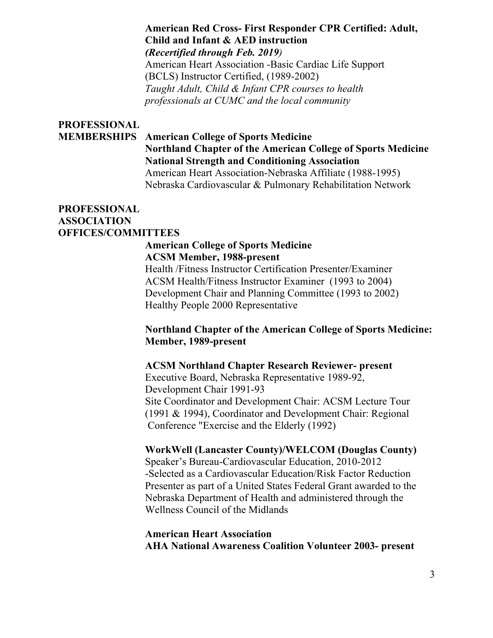#### **American Red Cross- First Responder CPR Certified: Adult, Child and Infant & AED instruction** *(Recertified through Feb. 2019)*

American Heart Association -Basic Cardiac Life Support (BCLS) Instructor Certified, (1989-2002) *Taught Adult, Child & Infant CPR courses to health professionals at CUMC and the local community*

# **PROFESSIONAL**

#### **MEMBERSHIPS American College of Sports Medicine Northland Chapter of the American College of Sports Medicine National Strength and Conditioning Association**

American Heart Association-Nebraska Affiliate (1988-1995) Nebraska Cardiovascular & Pulmonary Rehabilitation Network

#### **PROFESSIONAL ASSOCIATION OFFICES/COMMITTEES**

#### **American College of Sports Medicine ACSM Member, 1988-present**

Health /Fitness Instructor Certification Presenter/Examiner ACSM Health/Fitness Instructor Examiner (1993 to 2004) Development Chair and Planning Committee (1993 to 2002) Healthy People 2000 Representative

#### **Northland Chapter of the American College of Sports Medicine: Member, 1989-present**

#### **ACSM Northland Chapter Research Reviewer- present**

Executive Board, Nebraska Representative 1989-92, Development Chair 1991-93 Site Coordinator and Development Chair: ACSM Lecture Tour (1991 & 1994), Coordinator and Development Chair: Regional Conference "Exercise and the Elderly (1992)

#### **WorkWell (Lancaster County)/WELCOM (Douglas County)**

Speaker's Bureau-Cardiovascular Education, 2010-2012 -Selected as a Cardiovascular Education/Risk Factor Reduction Presenter as part of a United States Federal Grant awarded to the Nebraska Department of Health and administered through the Wellness Council of the Midlands

#### **American Heart Association AHA National Awareness Coalition Volunteer 2003- present**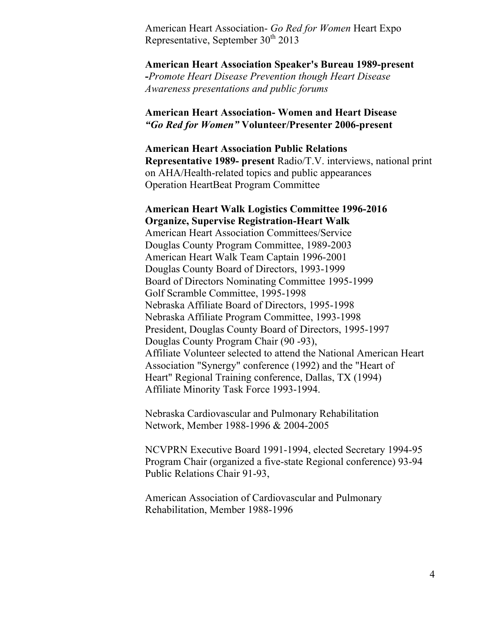American Heart Association- *Go Red for Women* Heart Expo Representative, September  $30<sup>th</sup> 2013$ 

**American Heart Association Speaker's Bureau 1989-present -***Promote Heart Disease Prevention though Heart Disease Awareness presentations and public forums*

#### **American Heart Association- Women and Heart Disease**  *"Go Red for Women"* **Volunteer/Presenter 2006-present**

#### **American Heart Association Public Relations Representative 1989- present** Radio/T.V. interviews, national print on AHA/Health-related topics and public appearances Operation HeartBeat Program Committee

#### **American Heart Walk Logistics Committee 1996-2016 Organize, Supervise Registration-Heart Walk**

American Heart Association Committees/Service Douglas County Program Committee, 1989-2003 American Heart Walk Team Captain 1996-2001 Douglas County Board of Directors, 1993-1999 Board of Directors Nominating Committee 1995-1999 Golf Scramble Committee, 1995-1998 Nebraska Affiliate Board of Directors, 1995-1998 Nebraska Affiliate Program Committee, 1993-1998 President, Douglas County Board of Directors, 1995-1997 Douglas County Program Chair (90 -93), Affiliate Volunteer selected to attend the National American Heart Association "Synergy" conference (1992) and the "Heart of Heart" Regional Training conference, Dallas, TX (1994) Affiliate Minority Task Force 1993-1994.

Nebraska Cardiovascular and Pulmonary Rehabilitation Network, Member 1988-1996 & 2004-2005

NCVPRN Executive Board 1991-1994, elected Secretary 1994-95 Program Chair (organized a five-state Regional conference) 93-94 Public Relations Chair 91-93,

American Association of Cardiovascular and Pulmonary Rehabilitation, Member 1988-1996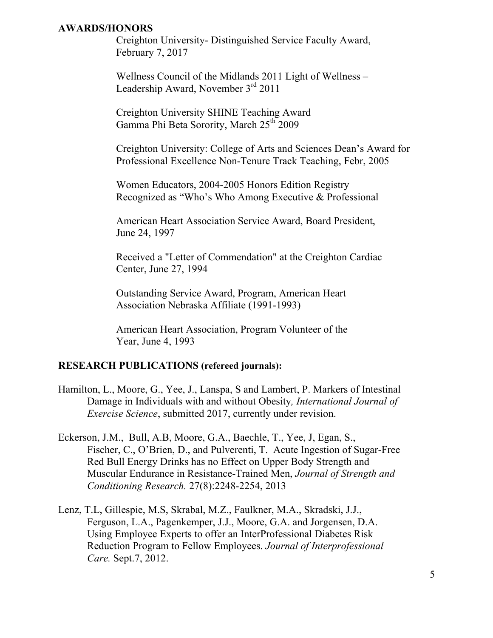#### **AWARDS/HONORS**

Creighton University- Distinguished Service Faculty Award, February 7, 2017

Wellness Council of the Midlands 2011 Light of Wellness – Leadership Award, November  $3<sup>rd</sup> 2011$ 

Creighton University SHINE Teaching Award Gamma Phi Beta Sorority, March 25<sup>th</sup> 2009

Creighton University: College of Arts and Sciences Dean's Award for Professional Excellence Non-Tenure Track Teaching, Febr, 2005

Women Educators, 2004-2005 Honors Edition Registry Recognized as "Who's Who Among Executive & Professional

American Heart Association Service Award, Board President, June 24, 1997

Received a "Letter of Commendation" at the Creighton Cardiac Center, June 27, 1994

Outstanding Service Award, Program, American Heart Association Nebraska Affiliate (1991-1993)

American Heart Association, Program Volunteer of the Year, June 4, 1993

#### **RESEARCH PUBLICATIONS (refereed journals):**

- Hamilton, L., Moore, G., Yee, J., Lanspa, S and Lambert, P. Markers of Intestinal Damage in Individuals with and without Obesity*, International Journal of Exercise Science*, submitted 2017, currently under revision.
- Eckerson, J.M., Bull, A.B, Moore, G.A., Baechle, T., Yee, J, Egan, S., Fischer, C., O'Brien, D., and Pulverenti, T. Acute Ingestion of Sugar-Free Red Bull Energy Drinks has no Effect on Upper Body Strength and Muscular Endurance in Resistance-Trained Men, *Journal of Strength and Conditioning Research.* 27(8):2248-2254, 2013
- Lenz, T.L, Gillespie, M.S, Skrabal, M.Z., Faulkner, M.A., Skradski, J.J., Ferguson, L.A., Pagenkemper, J.J., Moore, G.A. and Jorgensen, D.A. Using Employee Experts to offer an InterProfessional Diabetes Risk Reduction Program to Fellow Employees. *Journal of Interprofessional Care.* Sept.7, 2012.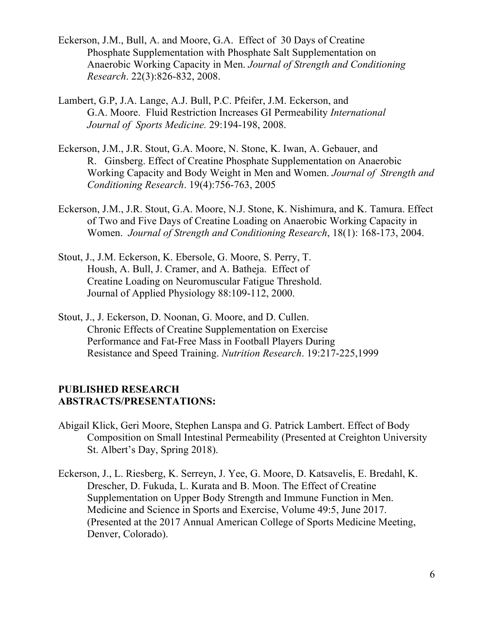- Eckerson, J.M., Bull, A. and Moore, G.A. Effect of 30 Days of Creatine Phosphate Supplementation with Phosphate Salt Supplementation on Anaerobic Working Capacity in Men. *Journal of Strength and Conditioning Research*. 22(3):826-832, 2008.
- Lambert, G.P, J.A. Lange, A.J. Bull, P.C. Pfeifer, J.M. Eckerson, and G.A. Moore. Fluid Restriction Increases GI Permeability *International Journal of Sports Medicine.* 29:194-198, 2008.
- Eckerson, J.M., J.R. Stout, G.A. Moore, N. Stone, K. Iwan, A. Gebauer, and R. Ginsberg. Effect of Creatine Phosphate Supplementation on Anaerobic Working Capacity and Body Weight in Men and Women. *Journal of Strength and Conditioning Research*. 19(4):756-763, 2005
- Eckerson, J.M., J.R. Stout, G.A. Moore, N.J. Stone, K. Nishimura, and K. Tamura. Effect of Two and Five Days of Creatine Loading on Anaerobic Working Capacity in Women. *Journal of Strength and Conditioning Research*, 18(1): 168-173, 2004.
- Stout, J., J.M. Eckerson, K. Ebersole, G. Moore, S. Perry, T. Housh, A. Bull, J. Cramer, and A. Batheja. Effect of Creatine Loading on Neuromuscular Fatigue Threshold. Journal of Applied Physiology 88:109-112, 2000.
- Stout, J., J. Eckerson, D. Noonan, G. Moore, and D. Cullen. Chronic Effects of Creatine Supplementation on Exercise Performance and Fat-Free Mass in Football Players During Resistance and Speed Training. *Nutrition Research*. 19:217-225,1999

#### **PUBLISHED RESEARCH ABSTRACTS/PRESENTATIONS:**

- Abigail Klick, Geri Moore, Stephen Lanspa and G. Patrick Lambert. Effect of Body Composition on Small Intestinal Permeability (Presented at Creighton University St. Albert's Day, Spring 2018).
- Eckerson, J., L. Riesberg, K. Serreyn, J. Yee, G. Moore, D. Katsavelis, E. Bredahl, K. Drescher, D. Fukuda, L. Kurata and B. Moon. The Effect of Creatine Supplementation on Upper Body Strength and Immune Function in Men. Medicine and Science in Sports and Exercise, Volume 49:5, June 2017. (Presented at the 2017 Annual American College of Sports Medicine Meeting, Denver, Colorado).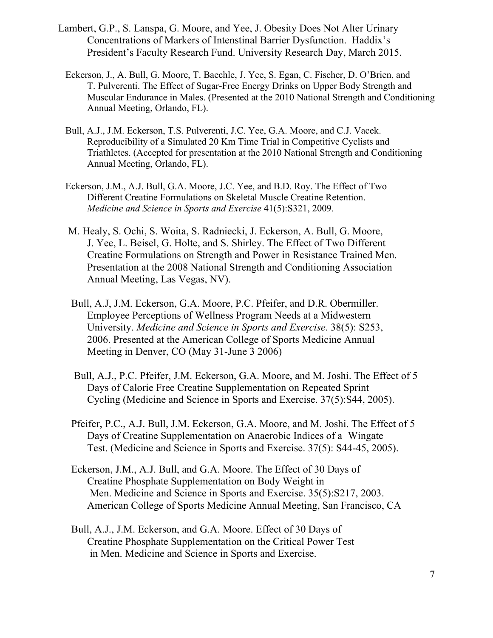- Lambert, G.P., S. Lanspa, G. Moore, and Yee, J. Obesity Does Not Alter Urinary Concentrations of Markers of Intenstinal Barrier Dysfunction. Haddix's President's Faculty Research Fund. University Research Day, March 2015.
	- Eckerson, J., A. Bull, G. Moore, T. Baechle, J. Yee, S. Egan, C. Fischer, D. O'Brien, and T. Pulverenti. The Effect of Sugar-Free Energy Drinks on Upper Body Strength and Muscular Endurance in Males. (Presented at the 2010 National Strength and Conditioning Annual Meeting, Orlando, FL).
	- Bull, A.J., J.M. Eckerson, T.S. Pulverenti, J.C. Yee, G.A. Moore, and C.J. Vacek. Reproducibility of a Simulated 20 Km Time Trial in Competitive Cyclists and Triathletes. (Accepted for presentation at the 2010 National Strength and Conditioning Annual Meeting, Orlando, FL).
	- Eckerson, J.M., A.J. Bull, G.A. Moore, J.C. Yee, and B.D. Roy. The Effect of Two Different Creatine Formulations on Skeletal Muscle Creatine Retention. *Medicine and Science in Sports and Exercise* 41(5):S321, 2009.
	- M. Healy, S. Ochi, S. Woita, S. Radniecki, J. Eckerson, A. Bull, G. Moore, J. Yee, L. Beisel, G. Holte, and S. Shirley. The Effect of Two Different Creatine Formulations on Strength and Power in Resistance Trained Men. Presentation at the 2008 National Strength and Conditioning Association Annual Meeting, Las Vegas, NV).
	- Bull, A.J, J.M. Eckerson, G.A. Moore, P.C. Pfeifer, and D.R. Obermiller. Employee Perceptions of Wellness Program Needs at a Midwestern University. *Medicine and Science in Sports and Exercise*. 38(5): S253, 2006. Presented at the American College of Sports Medicine Annual Meeting in Denver, CO (May 31-June 3 2006)
	- Bull, A.J., P.C. Pfeifer, J.M. Eckerson, G.A. Moore, and M. Joshi. The Effect of 5 Days of Calorie Free Creatine Supplementation on Repeated Sprint Cycling (Medicine and Science in Sports and Exercise. 37(5):S44, 2005).
	- Pfeifer, P.C., A.J. Bull, J.M. Eckerson, G.A. Moore, and M. Joshi. The Effect of 5 Days of Creatine Supplementation on Anaerobic Indices of a Wingate Test. (Medicine and Science in Sports and Exercise. 37(5): S44-45, 2005).
	- Eckerson, J.M., A.J. Bull, and G.A. Moore. The Effect of 30 Days of Creatine Phosphate Supplementation on Body Weight in Men. Medicine and Science in Sports and Exercise. 35(5):S217, 2003. American College of Sports Medicine Annual Meeting, San Francisco, CA
	- Bull, A.J., J.M. Eckerson, and G.A. Moore. Effect of 30 Days of Creatine Phosphate Supplementation on the Critical Power Test in Men. Medicine and Science in Sports and Exercise.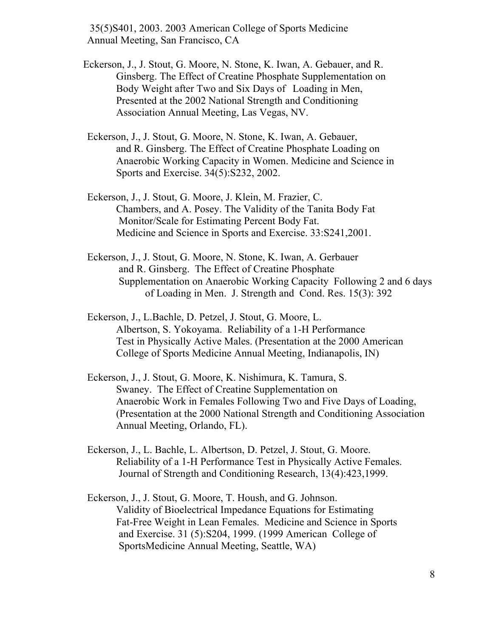35(5)S401, 2003. 2003 American College of Sports Medicine Annual Meeting, San Francisco, CA

- Eckerson, J., J. Stout, G. Moore, N. Stone, K. Iwan, A. Gebauer, and R. Ginsberg. The Effect of Creatine Phosphate Supplementation on Body Weight after Two and Six Days of Loading in Men, Presented at the 2002 National Strength and Conditioning Association Annual Meeting, Las Vegas, NV.
- Eckerson, J., J. Stout, G. Moore, N. Stone, K. Iwan, A. Gebauer, and R. Ginsberg. The Effect of Creatine Phosphate Loading on Anaerobic Working Capacity in Women. Medicine and Science in Sports and Exercise. 34(5):S232, 2002.
- Eckerson, J., J. Stout, G. Moore, J. Klein, M. Frazier, C. Chambers, and A. Posey. The Validity of the Tanita Body Fat Monitor/Scale for Estimating Percent Body Fat. Medicine and Science in Sports and Exercise. 33:S241,2001.
- Eckerson, J., J. Stout, G. Moore, N. Stone, K. Iwan, A. Gerbauer and R. Ginsberg. The Effect of Creatine Phosphate Supplementation on Anaerobic Working Capacity Following 2 and 6 days of Loading in Men. J. Strength and Cond. Res. 15(3): 392
- Eckerson, J., L.Bachle, D. Petzel, J. Stout, G. Moore, L. Albertson, S. Yokoyama. Reliability of a 1-H Performance Test in Physically Active Males. (Presentation at the 2000 American College of Sports Medicine Annual Meeting, Indianapolis, IN)
- Eckerson, J., J. Stout, G. Moore, K. Nishimura, K. Tamura, S. Swaney. The Effect of Creatine Supplementation on Anaerobic Work in Females Following Two and Five Days of Loading, (Presentation at the 2000 National Strength and Conditioning Association Annual Meeting, Orlando, FL).
- Eckerson, J., L. Bachle, L. Albertson, D. Petzel, J. Stout, G. Moore. Reliability of a 1-H Performance Test in Physically Active Females. Journal of Strength and Conditioning Research, 13(4):423,1999.
- Eckerson, J., J. Stout, G. Moore, T. Housh, and G. Johnson. Validity of Bioelectrical Impedance Equations for Estimating Fat-Free Weight in Lean Females. Medicine and Science in Sports and Exercise. 31 (5):S204, 1999. (1999 American College of SportsMedicine Annual Meeting, Seattle, WA)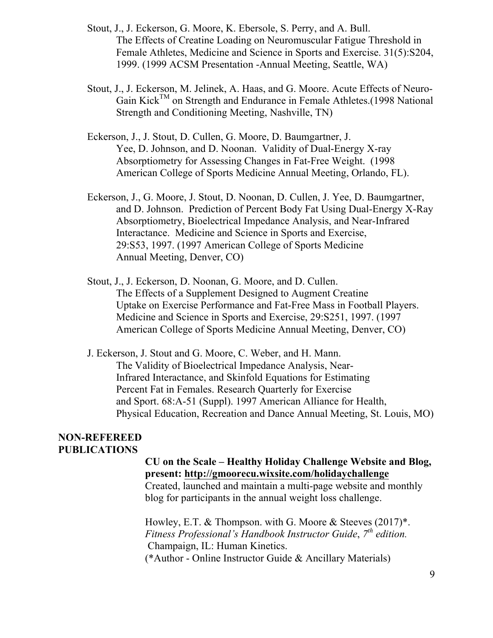- Stout, J., J. Eckerson, G. Moore, K. Ebersole, S. Perry, and A. Bull. The Effects of Creatine Loading on Neuromuscular Fatigue Threshold in Female Athletes, Medicine and Science in Sports and Exercise. 31(5):S204, 1999. (1999 ACSM Presentation -Annual Meeting, Seattle, WA)
- Stout, J., J. Eckerson, M. Jelinek, A. Haas, and G. Moore. Acute Effects of Neuro-Gain KickTM on Strength and Endurance in Female Athletes.(1998 National Strength and Conditioning Meeting, Nashville, TN)
- Eckerson, J., J. Stout, D. Cullen, G. Moore, D. Baumgartner, J. Yee, D. Johnson, and D. Noonan. Validity of Dual-Energy X-ray Absorptiometry for Assessing Changes in Fat-Free Weight. (1998 American College of Sports Medicine Annual Meeting, Orlando, FL).
- Eckerson, J., G. Moore, J. Stout, D. Noonan, D. Cullen, J. Yee, D. Baumgartner, and D. Johnson. Prediction of Percent Body Fat Using Dual-Energy X-Ray Absorptiometry, Bioelectrical Impedance Analysis, and Near-Infrared Interactance. Medicine and Science in Sports and Exercise, 29:S53, 1997. (1997 American College of Sports Medicine Annual Meeting, Denver, CO)
- Stout, J., J. Eckerson, D. Noonan, G. Moore, and D. Cullen. The Effects of a Supplement Designed to Augment Creatine Uptake on Exercise Performance and Fat-Free Mass in Football Players. Medicine and Science in Sports and Exercise, 29:S251, 1997. (1997 American College of Sports Medicine Annual Meeting, Denver, CO)
- J. Eckerson, J. Stout and G. Moore, C. Weber, and H. Mann. The Validity of Bioelectrical Impedance Analysis, Near-Infrared Interactance, and Skinfold Equations for Estimating Percent Fat in Females. Research Quarterly for Exercise and Sport. 68:A-51 (Suppl). 1997 American Alliance for Health, Physical Education, Recreation and Dance Annual Meeting, St. Louis, MO)

#### **NON-REFEREED PUBLICATIONS**

#### **CU on the Scale – Healthy Holiday Challenge Website and Blog, present: http://gmoorecu.wixsite.com/holidaychallenge**

Created, launched and maintain a multi-page website and monthly blog for participants in the annual weight loss challenge.

Howley, E.T. & Thompson. with G. Moore & Steeves (2017)\*. *Fitness Professional's Handbook Instructor Guide*, *7th edition.* Champaign, IL: Human Kinetics. (\*Author - Online Instructor Guide & Ancillary Materials)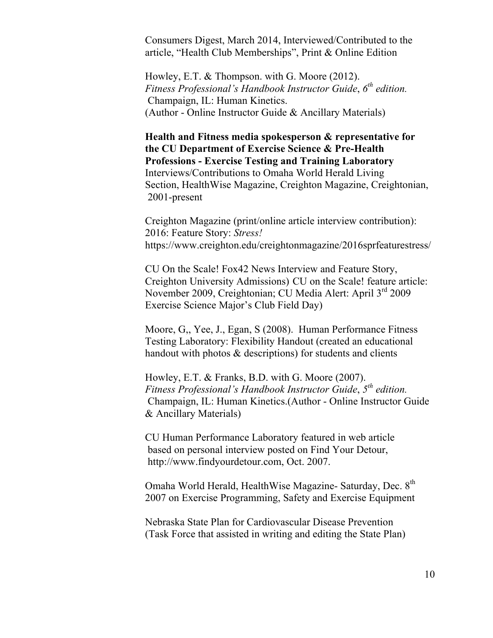Consumers Digest, March 2014, Interviewed/Contributed to the article, "Health Club Memberships", Print & Online Edition

Howley, E.T. & Thompson. with G. Moore (2012). *Fitness Professional's Handbook Instructor Guide*, *6th edition.* Champaign, IL: Human Kinetics. (Author - Online Instructor Guide & Ancillary Materials)

**Health and Fitness media spokesperson & representative for the CU Department of Exercise Science & Pre-Health Professions - Exercise Testing and Training Laboratory**  Interviews/Contributions to Omaha World Herald Living Section, HealthWise Magazine, Creighton Magazine, Creightonian, 2001-present

Creighton Magazine (print/online article interview contribution): 2016: Feature Story: *Stress!* https://www.creighton.edu/creightonmagazine/2016sprfeaturestress/

CU On the Scale! Fox42 News Interview and Feature Story, Creighton University Admissions) CU on the Scale! feature article: November 2009, Creightonian; CU Media Alert: April 3rd 2009 Exercise Science Major's Club Field Day)

Moore, G,, Yee, J., Egan, S (2008). Human Performance Fitness Testing Laboratory: Flexibility Handout (created an educational handout with photos  $&$  descriptions) for students and clients

Howley, E.T. & Franks, B.D. with G. Moore (2007). *Fitness Professional's Handbook Instructor Guide*, *5th edition.* Champaign, IL: Human Kinetics.(Author - Online Instructor Guide & Ancillary Materials)

CU Human Performance Laboratory featured in web article based on personal interview posted on Find Your Detour, http://www.findyourdetour.com, Oct. 2007.

Omaha World Herald, HealthWise Magazine- Saturday, Dec. 8<sup>th</sup> 2007 on Exercise Programming, Safety and Exercise Equipment

Nebraska State Plan for Cardiovascular Disease Prevention (Task Force that assisted in writing and editing the State Plan)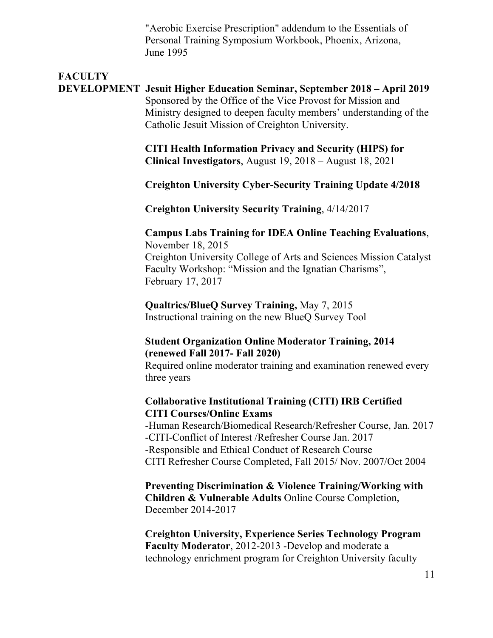"Aerobic Exercise Prescription" addendum to the Essentials of Personal Training Symposium Workbook, Phoenix, Arizona, June 1995

# **FACULTY**

#### **DEVELOPMENT Jesuit Higher Education Seminar, September 2018 – April 2019** Sponsored by the Office of the Vice Provost for Mission and Ministry designed to deepen faculty members' understanding of the Catholic Jesuit Mission of Creighton University.

**CITI Health Information Privacy and Security (HIPS) for Clinical Investigators**, August 19, 2018 – August 18, 2021

#### **Creighton University Cyber-Security Training Update 4/2018**

**Creighton University Security Training**, 4/14/2017

#### **Campus Labs Training for IDEA Online Teaching Evaluations**, November 18, 2015

Creighton University College of Arts and Sciences Mission Catalyst Faculty Workshop: "Mission and the Ignatian Charisms", February 17, 2017

**Qualtrics/BlueQ Survey Training,** May 7, 2015 Instructional training on the new BlueQ Survey Tool

#### **Student Organization Online Moderator Training, 2014 (renewed Fall 2017- Fall 2020)**

Required online moderator training and examination renewed every three years

#### **Collaborative Institutional Training (CITI) IRB Certified CITI Courses/Online Exams**

-Human Research/Biomedical Research/Refresher Course, Jan. 2017 -CITI-Conflict of Interest /Refresher Course Jan. 2017 -Responsible and Ethical Conduct of Research Course CITI Refresher Course Completed, Fall 2015/ Nov. 2007/Oct 2004

**Preventing Discrimination & Violence Training/Working with Children & Vulnerable Adults** Online Course Completion, December 2014-2017

**Creighton University, Experience Series Technology Program Faculty Moderator**, 2012-2013 -Develop and moderate a technology enrichment program for Creighton University faculty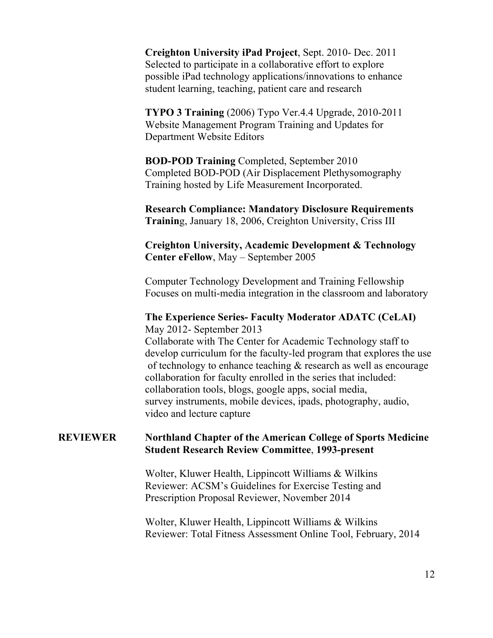**Creighton University iPad Project**, Sept. 2010- Dec. 2011 Selected to participate in a collaborative effort to explore possible iPad technology applications/innovations to enhance student learning, teaching, patient care and research

**TYPO 3 Training** (2006) Typo Ver.4.4 Upgrade, 2010-2011 Website Management Program Training and Updates for Department Website Editors

**BOD-POD Training** Completed, September 2010 Completed BOD-POD (Air Displacement Plethysomography Training hosted by Life Measurement Incorporated.

**Research Compliance: Mandatory Disclosure Requirements Trainin**g, January 18, 2006, Creighton University, Criss III

**Creighton University, Academic Development & Technology Center eFellow**, May – September 2005

Computer Technology Development and Training Fellowship Focuses on multi-media integration in the classroom and laboratory

#### **The Experience Series- Faculty Moderator ADATC (CeLAI)** May 2012- September 2013

Collaborate with The Center for Academic Technology staff to develop curriculum for the faculty-led program that explores the use of technology to enhance teaching & research as well as encourage collaboration for faculty enrolled in the series that included: collaboration tools, blogs, google apps, social media, survey instruments, mobile devices, ipads, photography, audio, video and lecture capture

#### **REVIEWER Northland Chapter of the American College of Sports Medicine Student Research Review Committee**, **1993-present**

Wolter, Kluwer Health, Lippincott Williams & Wilkins Reviewer: ACSM's Guidelines for Exercise Testing and Prescription Proposal Reviewer, November 2014

Wolter, Kluwer Health, Lippincott Williams & Wilkins Reviewer: Total Fitness Assessment Online Tool, February, 2014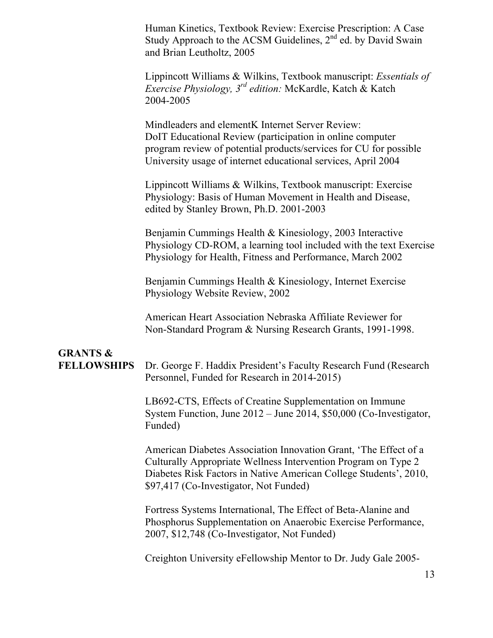Human Kinetics, Textbook Review: Exercise Prescription: A Case Study Approach to the ACSM Guidelines,  $2<sup>nd</sup>$  ed. by David Swain and Brian Leutholtz, 2005

Lippincott Williams & Wilkins, Textbook manuscript: *Essentials of Exercise Physiology, 3rd edition:* McKardle, Katch & Katch 2004-2005

Mindleaders and elementK Internet Server Review: DoIT Educational Review (participation in online computer program review of potential products/services for CU for possible University usage of internet educational services, April 2004

Lippincott Williams & Wilkins, Textbook manuscript: Exercise Physiology: Basis of Human Movement in Health and Disease, edited by Stanley Brown, Ph.D. 2001-2003

Benjamin Cummings Health & Kinesiology, 2003 Interactive Physiology CD-ROM, a learning tool included with the text Exercise Physiology for Health, Fitness and Performance, March 2002

Benjamin Cummings Health & Kinesiology, Internet Exercise Physiology Website Review, 2002

American Heart Association Nebraska Affiliate Reviewer for Non-Standard Program & Nursing Research Grants, 1991-1998.

# **GRANTS &**

**FELLOWSHIPS** Dr. George F. Haddix President's Faculty Research Fund (Research Personnel, Funded for Research in 2014-2015)

> LB692-CTS, Effects of Creatine Supplementation on Immune System Function, June 2012 – June 2014, \$50,000 (Co-Investigator, Funded)

> American Diabetes Association Innovation Grant, 'The Effect of a Culturally Appropriate Wellness Intervention Program on Type 2 Diabetes Risk Factors in Native American College Students', 2010, \$97,417 (Co-Investigator, Not Funded)

Fortress Systems International, The Effect of Beta-Alanine and Phosphorus Supplementation on Anaerobic Exercise Performance, 2007, \$12,748 (Co-Investigator, Not Funded)

Creighton University eFellowship Mentor to Dr. Judy Gale 2005-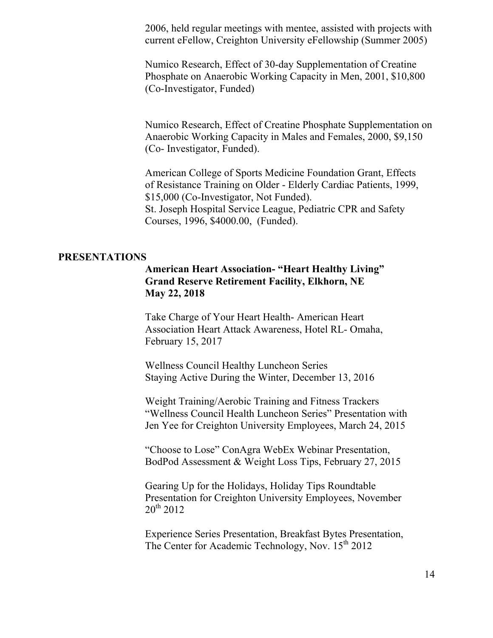2006, held regular meetings with mentee, assisted with projects with current eFellow, Creighton University eFellowship (Summer 2005)

Numico Research, Effect of 30-day Supplementation of Creatine Phosphate on Anaerobic Working Capacity in Men, 2001, \$10,800 (Co-Investigator, Funded)

Numico Research, Effect of Creatine Phosphate Supplementation on Anaerobic Working Capacity in Males and Females, 2000, \$9,150 (Co- Investigator, Funded).

American College of Sports Medicine Foundation Grant, Effects of Resistance Training on Older - Elderly Cardiac Patients, 1999, \$15,000 (Co-Investigator, Not Funded). St. Joseph Hospital Service League, Pediatric CPR and Safety Courses, 1996, \$4000.00, (Funded).

#### **PRESENTATIONS**

#### **American Heart Association- "Heart Healthy Living" Grand Reserve Retirement Facility, Elkhorn, NE May 22, 2018**

Take Charge of Your Heart Health- American Heart Association Heart Attack Awareness, Hotel RL- Omaha, February 15, 2017

Wellness Council Healthy Luncheon Series Staying Active During the Winter, December 13, 2016

Weight Training/Aerobic Training and Fitness Trackers "Wellness Council Health Luncheon Series" Presentation with Jen Yee for Creighton University Employees, March 24, 2015

"Choose to Lose" ConAgra WebEx Webinar Presentation, BodPod Assessment & Weight Loss Tips, February 27, 2015

Gearing Up for the Holidays, Holiday Tips Roundtable Presentation for Creighton University Employees, November  $20^{th}$  2012

Experience Series Presentation, Breakfast Bytes Presentation, The Center for Academic Technology, Nov. 15<sup>th</sup> 2012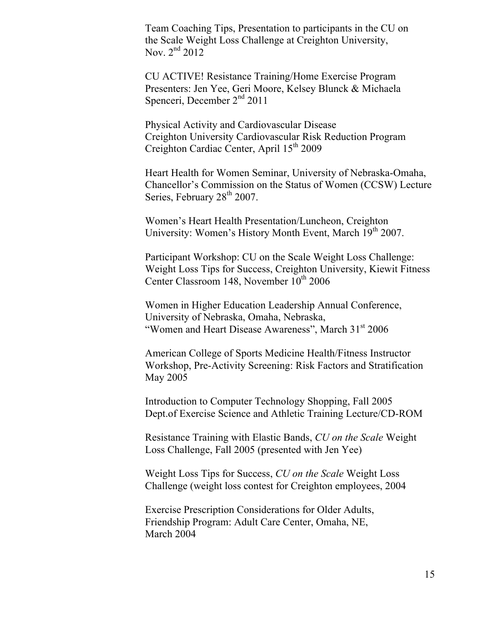Team Coaching Tips, Presentation to participants in the CU on the Scale Weight Loss Challenge at Creighton University, Nov. 2<sup>nd</sup> 2012

CU ACTIVE! Resistance Training/Home Exercise Program Presenters: Jen Yee, Geri Moore, Kelsey Blunck & Michaela Spenceri, December  $2<sup>nd</sup> 2011$ 

Physical Activity and Cardiovascular Disease Creighton University Cardiovascular Risk Reduction Program Creighton Cardiac Center, April 15<sup>th</sup> 2009

Heart Health for Women Seminar, University of Nebraska-Omaha, Chancellor's Commission on the Status of Women (CCSW) Lecture Series, February 28<sup>th</sup> 2007.

Women's Heart Health Presentation/Luncheon, Creighton University: Women's History Month Event, March 19<sup>th</sup> 2007.

Participant Workshop: CU on the Scale Weight Loss Challenge: Weight Loss Tips for Success, Creighton University, Kiewit Fitness Center Classroom 148, November 10<sup>th</sup> 2006

Women in Higher Education Leadership Annual Conference, University of Nebraska, Omaha, Nebraska, "Women and Heart Disease Awareness", March 31<sup>st</sup> 2006

American College of Sports Medicine Health/Fitness Instructor Workshop, Pre-Activity Screening: Risk Factors and Stratification May 2005

Introduction to Computer Technology Shopping, Fall 2005 Dept.of Exercise Science and Athletic Training Lecture/CD-ROM

Resistance Training with Elastic Bands, *CU on the Scale* Weight Loss Challenge, Fall 2005 (presented with Jen Yee)

Weight Loss Tips for Success, *CU on the Scale* Weight Loss Challenge (weight loss contest for Creighton employees, 2004

Exercise Prescription Considerations for Older Adults, Friendship Program: Adult Care Center, Omaha, NE, March 2004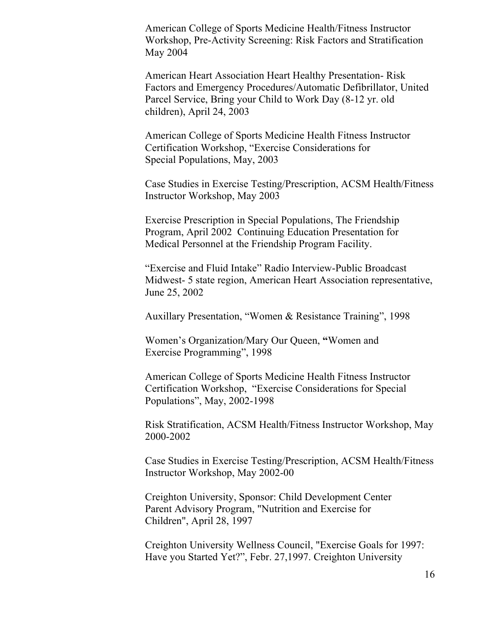American College of Sports Medicine Health/Fitness Instructor Workshop, Pre-Activity Screening: Risk Factors and Stratification May 2004

American Heart Association Heart Healthy Presentation- Risk Factors and Emergency Procedures/Automatic Defibrillator, United Parcel Service, Bring your Child to Work Day (8-12 yr. old children), April 24, 2003

American College of Sports Medicine Health Fitness Instructor Certification Workshop, "Exercise Considerations for Special Populations, May, 2003

Case Studies in Exercise Testing/Prescription, ACSM Health/Fitness Instructor Workshop, May 2003

Exercise Prescription in Special Populations, The Friendship Program, April 2002 Continuing Education Presentation for Medical Personnel at the Friendship Program Facility.

"Exercise and Fluid Intake" Radio Interview-Public Broadcast Midwest- 5 state region, American Heart Association representative, June 25, 2002

Auxillary Presentation, "Women & Resistance Training", 1998

Women's Organization/Mary Our Queen, **"**Women and Exercise Programming", 1998

American College of Sports Medicine Health Fitness Instructor Certification Workshop, "Exercise Considerations for Special Populations", May, 2002-1998

Risk Stratification, ACSM Health/Fitness Instructor Workshop, May 2000-2002

Case Studies in Exercise Testing/Prescription, ACSM Health/Fitness Instructor Workshop, May 2002-00

Creighton University, Sponsor: Child Development Center Parent Advisory Program, "Nutrition and Exercise for Children", April 28, 1997

Creighton University Wellness Council, "Exercise Goals for 1997: Have you Started Yet?", Febr. 27,1997. Creighton University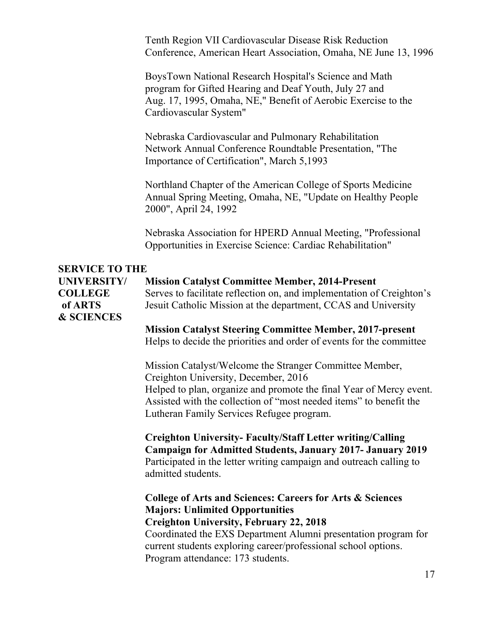Tenth Region VII Cardiovascular Disease Risk Reduction Conference, American Heart Association, Omaha, NE June 13, 1996

BoysTown National Research Hospital's Science and Math program for Gifted Hearing and Deaf Youth, July 27 and Aug. 17, 1995, Omaha, NE," Benefit of Aerobic Exercise to the Cardiovascular System"

Nebraska Cardiovascular and Pulmonary Rehabilitation Network Annual Conference Roundtable Presentation, "The Importance of Certification", March 5,1993

Northland Chapter of the American College of Sports Medicine Annual Spring Meeting, Omaha, NE, "Update on Healthy People 2000", April 24, 1992

Nebraska Association for HPERD Annual Meeting, "Professional Opportunities in Exercise Science: Cardiac Rehabilitation"

#### **SERVICE TO THE**

**UNIVERSITY/ Mission Catalyst Committee Member, 2014-Present COLLEGE** Serves to facilitate reflection on, and implementation of Creighton's **of ARTS** Jesuit Catholic Mission at the department, CCAS and University **& SCIENCES**

> **Mission Catalyst Steering Committee Member, 2017-present** Helps to decide the priorities and order of events for the committee

Mission Catalyst/Welcome the Stranger Committee Member, Creighton University, December, 2016 Helped to plan, organize and promote the final Year of Mercy event. Assisted with the collection of "most needed items" to benefit the Lutheran Family Services Refugee program.

**Creighton University- Faculty/Staff Letter writing/Calling Campaign for Admitted Students, January 2017- January 2019** Participated in the letter writing campaign and outreach calling to admitted students.

**College of Arts and Sciences: Careers for Arts & Sciences Majors: Unlimited Opportunities Creighton University, February 22, 2018** Coordinated the EXS Department Alumni presentation program for current students exploring career/professional school options. Program attendance: 173 students.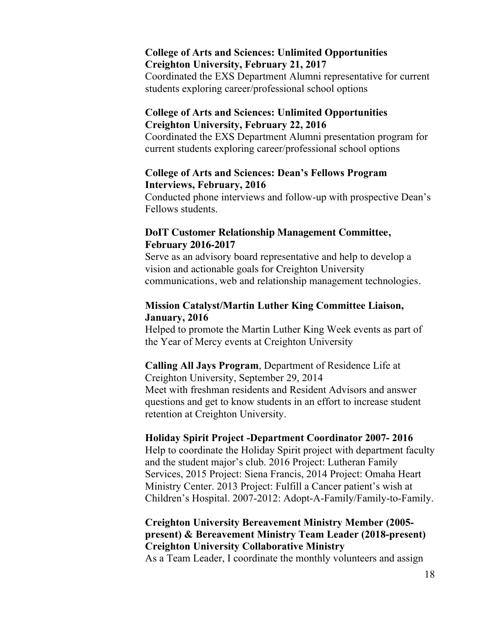#### **College of Arts and Sciences: Unlimited Opportunities Creighton University, February 21, 2017**

Coordinated the EXS Department Alumni representative for current students exploring career/professional school options

#### **College of Arts and Sciences: Unlimited Opportunities Creighton University, February 22, 2016**

Coordinated the EXS Department Alumni presentation program for current students exploring career/professional school options

#### **College of Arts and Sciences: Dean's Fellows Program Interviews, February, 2016**

Conducted phone interviews and follow-up with prospective Dean's Fellows students.

#### **DoIT Customer Relationship Management Committee, February 2016-2017**

Serve as an advisory board representative and help to develop a vision and actionable goals for Creighton University communications, web and relationship management technologies.

#### **Mission Catalyst/Martin Luther King Committee Liaison, January, 2016**

Helped to promote the Martin Luther King Week events as part of the Year of Mercy events at Creighton University

## **Calling All Jays Program**, Department of Residence Life at

Creighton University, September 29, 2014 Meet with freshman residents and Resident Advisors and answer questions and get to know students in an effort to increase student retention at Creighton University.

#### **Holiday Spirit Project -Department Coordinator 2007- 2016**

Help to coordinate the Holiday Spirit project with department faculty and the student major's club. 2016 Project: Lutheran Family Services, 2015 Project: Siena Francis, 2014 Project: Omaha Heart Ministry Center. 2013 Project: Fulfill a Cancer patient's wish at Children's Hospital. 2007-2012: Adopt-A-Family/Family-to-Family.

### **Creighton University Bereavement Ministry Member (2005 present) & Bereavement Ministry Team Leader (2018-present) Creighton University Collaborative Ministry**

As a Team Leader, I coordinate the monthly volunteers and assign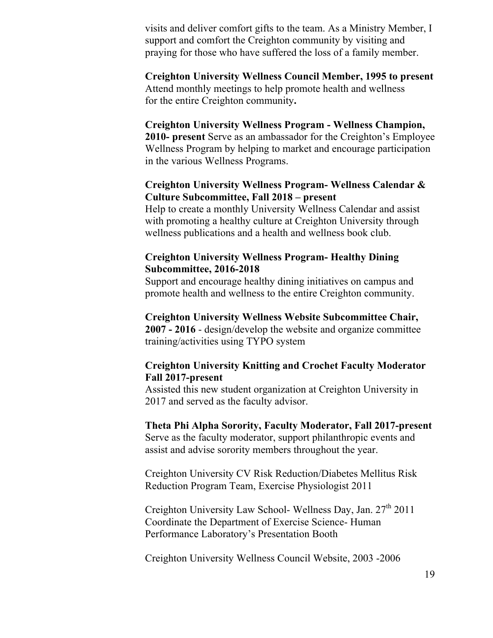visits and deliver comfort gifts to the team. As a Ministry Member, I support and comfort the Creighton community by visiting and praying for those who have suffered the loss of a family member.

#### **Creighton University Wellness Council Member, 1995 to present** Attend monthly meetings to help promote health and wellness for the entire Creighton community**.**

**Creighton University Wellness Program - Wellness Champion, 2010- present** Serve as an ambassador for the Creighton's Employee Wellness Program by helping to market and encourage participation in the various Wellness Programs.

#### **Creighton University Wellness Program- Wellness Calendar & Culture Subcommittee, Fall 2018 – present**

Help to create a monthly University Wellness Calendar and assist with promoting a healthy culture at Creighton University through wellness publications and a health and wellness book club.

#### **Creighton University Wellness Program- Healthy Dining Subcommittee, 2016-2018**

Support and encourage healthy dining initiatives on campus and promote health and wellness to the entire Creighton community.

#### **Creighton University Wellness Website Subcommittee Chair,**

**2007 - 2016** - design/develop the website and organize committee training/activities using TYPO system

#### **Creighton University Knitting and Crochet Faculty Moderator Fall 2017-present**

Assisted this new student organization at Creighton University in 2017 and served as the faculty advisor.

# **Theta Phi Alpha Sorority, Faculty Moderator, Fall 2017-present**

Serve as the faculty moderator, support philanthropic events and assist and advise sorority members throughout the year.

Creighton University CV Risk Reduction/Diabetes Mellitus Risk Reduction Program Team, Exercise Physiologist 2011

Creighton University Law School- Wellness Day, Jan.  $27<sup>th</sup> 2011$ Coordinate the Department of Exercise Science- Human Performance Laboratory's Presentation Booth

Creighton University Wellness Council Website, 2003 -2006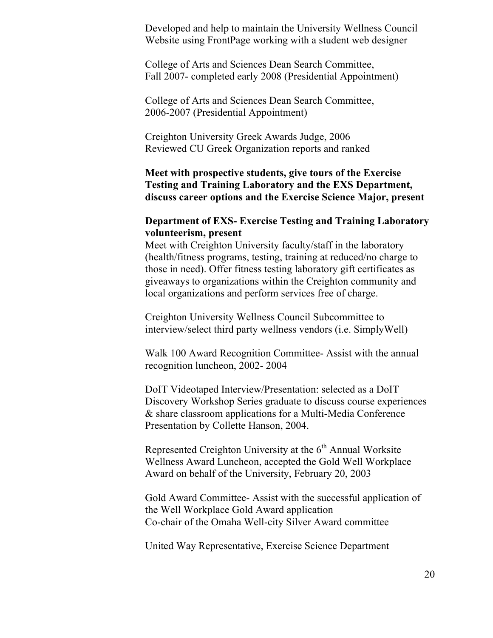Developed and help to maintain the University Wellness Council Website using FrontPage working with a student web designer

College of Arts and Sciences Dean Search Committee, Fall 2007- completed early 2008 (Presidential Appointment)

College of Arts and Sciences Dean Search Committee, 2006-2007 (Presidential Appointment)

Creighton University Greek Awards Judge, 2006 Reviewed CU Greek Organization reports and ranked

**Meet with prospective students, give tours of the Exercise Testing and Training Laboratory and the EXS Department, discuss career options and the Exercise Science Major, present**

#### **Department of EXS- Exercise Testing and Training Laboratory volunteerism, present**

Meet with Creighton University faculty/staff in the laboratory (health/fitness programs, testing, training at reduced/no charge to those in need). Offer fitness testing laboratory gift certificates as giveaways to organizations within the Creighton community and local organizations and perform services free of charge.

Creighton University Wellness Council Subcommittee to interview/select third party wellness vendors (i.e. SimplyWell)

Walk 100 Award Recognition Committee- Assist with the annual recognition luncheon, 2002- 2004

DoIT Videotaped Interview/Presentation: selected as a DoIT Discovery Workshop Series graduate to discuss course experiences & share classroom applications for a Multi-Media Conference Presentation by Collette Hanson, 2004.

Represented Creighton University at the  $6<sup>th</sup>$  Annual Worksite Wellness Award Luncheon, accepted the Gold Well Workplace Award on behalf of the University, February 20, 2003

Gold Award Committee- Assist with the successful application of the Well Workplace Gold Award application Co-chair of the Omaha Well-city Silver Award committee

United Way Representative, Exercise Science Department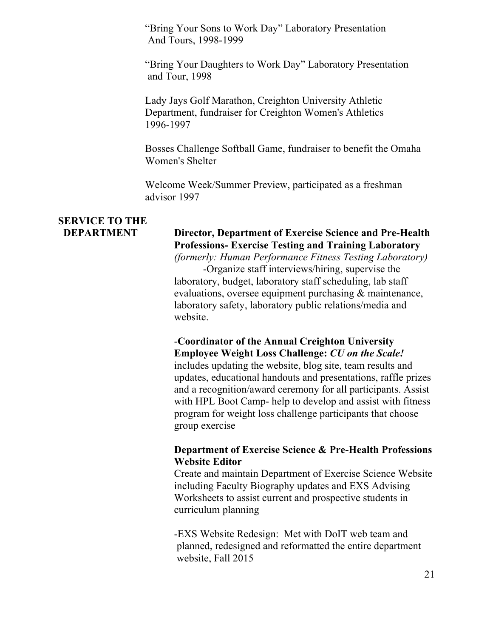"Bring Your Sons to Work Day" Laboratory Presentation And Tours, 1998-1999

"Bring Your Daughters to Work Day" Laboratory Presentation and Tour, 1998

Lady Jays Golf Marathon, Creighton University Athletic Department, fundraiser for Creighton Women's Athletics 1996-1997

Bosses Challenge Softball Game, fundraiser to benefit the Omaha Women's Shelter

Welcome Week/Summer Preview, participated as a freshman advisor 1997

# **SERVICE TO THE**

# **DEPARTMENT Director, Department of Exercise Science and Pre-Health Professions- Exercise Testing and Training Laboratory**

*(formerly: Human Performance Fitness Testing Laboratory)*

-Organize staff interviews/hiring, supervise the laboratory, budget, laboratory staff scheduling, lab staff evaluations, oversee equipment purchasing & maintenance, laboratory safety, laboratory public relations/media and website.

#### -**Coordinator of the Annual Creighton University Employee Weight Loss Challenge:** *CU on the Scale!*

includes updating the website, blog site, team results and updates, educational handouts and presentations, raffle prizes and a recognition/award ceremony for all participants. Assist with HPL Boot Camp- help to develop and assist with fitness program for weight loss challenge participants that choose group exercise

#### **Department of Exercise Science & Pre-Health Professions Website Editor**

Create and maintain Department of Exercise Science Website including Faculty Biography updates and EXS Advising Worksheets to assist current and prospective students in curriculum planning

-EXS Website Redesign: Met with DoIT web team and planned, redesigned and reformatted the entire department website, Fall 2015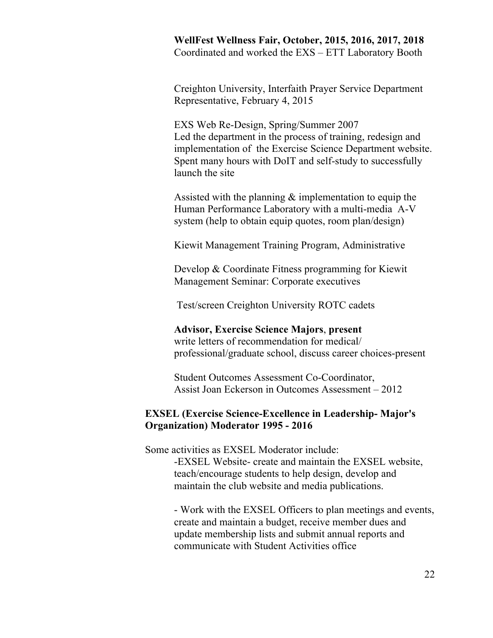**WellFest Wellness Fair, October, 2015, 2016, 2017, 2018** Coordinated and worked the EXS – ETT Laboratory Booth

Creighton University, Interfaith Prayer Service Department Representative, February 4, 2015

EXS Web Re-Design, Spring/Summer 2007 Led the department in the process of training, redesign and implementation of the Exercise Science Department website. Spent many hours with DoIT and self-study to successfully launch the site

Assisted with the planning  $\&$  implementation to equip the Human Performance Laboratory with a multi-media A-V system (help to obtain equip quotes, room plan/design)

Kiewit Management Training Program, Administrative

Develop & Coordinate Fitness programming for Kiewit Management Seminar: Corporate executives

Test/screen Creighton University ROTC cadets

#### **Advisor, Exercise Science Majors**, **present**

write letters of recommendation for medical/ professional/graduate school, discuss career choices-present

Student Outcomes Assessment Co-Coordinator, Assist Joan Eckerson in Outcomes Assessment – 2012

#### **EXSEL (Exercise Science-Excellence in Leadership- Major's Organization) Moderator 1995 - 2016**

Some activities as EXSEL Moderator include:

-EXSEL Website- create and maintain the EXSEL website, teach/encourage students to help design, develop and maintain the club website and media publications.

- Work with the EXSEL Officers to plan meetings and events, create and maintain a budget, receive member dues and update membership lists and submit annual reports and communicate with Student Activities office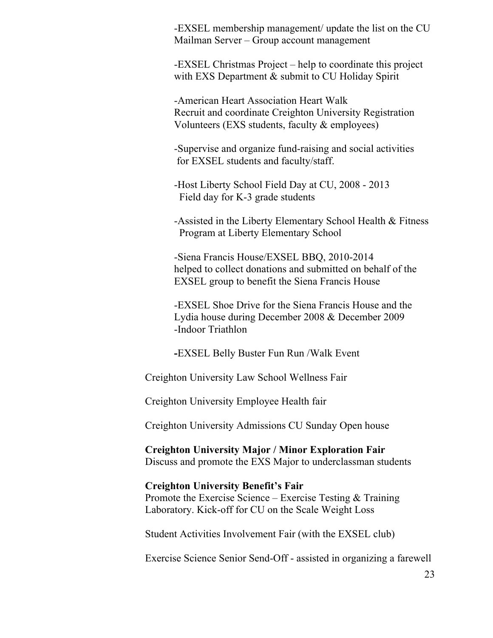-EXSEL membership management/ update the list on the CU Mailman Server – Group account management

-EXSEL Christmas Project – help to coordinate this project with EXS Department & submit to CU Holiday Spirit

-American Heart Association Heart Walk Recruit and coordinate Creighton University Registration Volunteers (EXS students, faculty & employees)

-Supervise and organize fund-raising and social activities for EXSEL students and faculty/staff.

-Host Liberty School Field Day at CU, 2008 - 2013 Field day for K-3 grade students

-Assisted in the Liberty Elementary School Health & Fitness Program at Liberty Elementary School

-Siena Francis House/EXSEL BBQ, 2010-2014 helped to collect donations and submitted on behalf of the EXSEL group to benefit the Siena Francis House

-EXSEL Shoe Drive for the Siena Francis House and the Lydia house during December 2008 & December 2009 -Indoor Triathlon

**-**EXSEL Belly Buster Fun Run /Walk Event

Creighton University Law School Wellness Fair

Creighton University Employee Health fair

Creighton University Admissions CU Sunday Open house

**Creighton University Major / Minor Exploration Fair** Discuss and promote the EXS Major to underclassman students

#### **Creighton University Benefit's Fair**

Promote the Exercise Science – Exercise Testing & Training Laboratory. Kick-off for CU on the Scale Weight Loss

Student Activities Involvement Fair (with the EXSEL club)

Exercise Science Senior Send-Off - assisted in organizing a farewell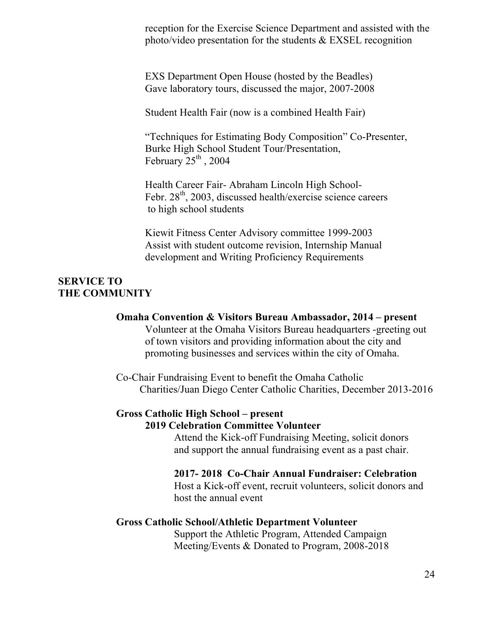reception for the Exercise Science Department and assisted with the photo/video presentation for the students & EXSEL recognition

EXS Department Open House (hosted by the Beadles) Gave laboratory tours, discussed the major, 2007-2008

Student Health Fair (now is a combined Health Fair)

"Techniques for Estimating Body Composition" Co-Presenter, Burke High School Student Tour/Presentation, February  $25^{\text{th}}$ , 2004

Health Career Fair- Abraham Lincoln High School-Febr. 28<sup>th</sup>, 2003, discussed health/exercise science careers to high school students

Kiewit Fitness Center Advisory committee 1999-2003 Assist with student outcome revision, Internship Manual development and Writing Proficiency Requirements

#### **SERVICE TO THE COMMUNITY**

#### **Omaha Convention & Visitors Bureau Ambassador, 2014 – present**

Volunteer at the Omaha Visitors Bureau headquarters -greeting out of town visitors and providing information about the city and promoting businesses and services within the city of Omaha.

Co-Chair Fundraising Event to benefit the Omaha Catholic Charities/Juan Diego Center Catholic Charities, December 2013-2016

#### **Gross Catholic High School – present 2019 Celebration Committee Volunteer**

Attend the Kick-off Fundraising Meeting, solicit donors and support the annual fundraising event as a past chair.

**2017- 2018 Co-Chair Annual Fundraiser: Celebration**  Host a Kick-off event, recruit volunteers, solicit donors and host the annual event

#### **Gross Catholic School/Athletic Department Volunteer**

Support the Athletic Program, Attended Campaign Meeting/Events & Donated to Program, 2008-2018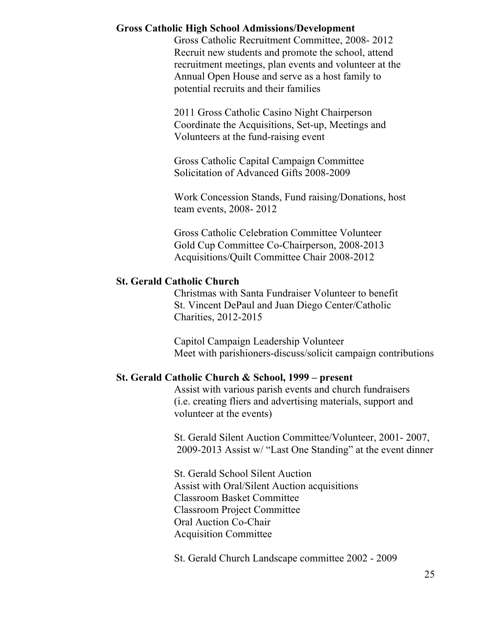#### **Gross Catholic High School Admissions/Development**

Gross Catholic Recruitment Committee, 2008- 2012 Recruit new students and promote the school, attend recruitment meetings, plan events and volunteer at the Annual Open House and serve as a host family to potential recruits and their families

2011 Gross Catholic Casino Night Chairperson Coordinate the Acquisitions, Set-up, Meetings and Volunteers at the fund-raising event

Gross Catholic Capital Campaign Committee Solicitation of Advanced Gifts 2008-2009

Work Concession Stands, Fund raising/Donations, host team events, 2008- 2012

Gross Catholic Celebration Committee Volunteer Gold Cup Committee Co-Chairperson, 2008-2013 Acquisitions/Quilt Committee Chair 2008-2012

#### **St. Gerald Catholic Church**

Christmas with Santa Fundraiser Volunteer to benefit St. Vincent DePaul and Juan Diego Center/Catholic Charities, 2012-2015

Capitol Campaign Leadership Volunteer Meet with parishioners-discuss/solicit campaign contributions

#### **St. Gerald Catholic Church & School, 1999 – present**

Assist with various parish events and church fundraisers (i.e. creating fliers and advertising materials, support and volunteer at the events)

St. Gerald Silent Auction Committee/Volunteer, 2001- 2007, 2009-2013 Assist w/ "Last One Standing" at the event dinner

St. Gerald School Silent Auction Assist with Oral/Silent Auction acquisitions Classroom Basket Committee Classroom Project Committee Oral Auction Co-Chair Acquisition Committee

St. Gerald Church Landscape committee 2002 - 2009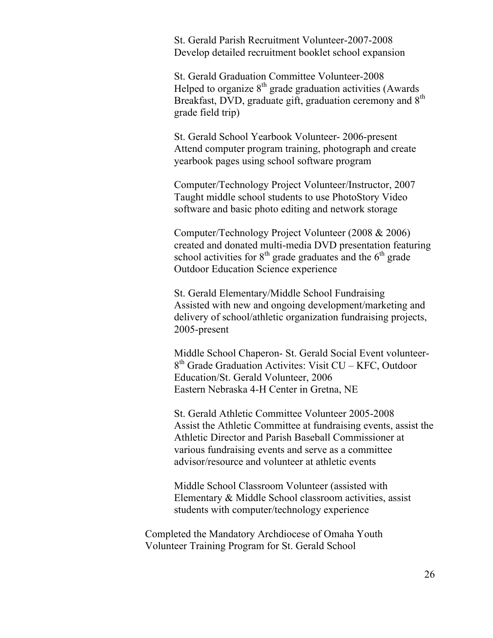St. Gerald Parish Recruitment Volunteer-2007-2008 Develop detailed recruitment booklet school expansion

St. Gerald Graduation Committee Volunteer-2008 Helped to organize  $8<sup>th</sup>$  grade graduation activities (Awards) Breakfast, DVD, graduate gift, graduation ceremony and 8<sup>th</sup> grade field trip)

St. Gerald School Yearbook Volunteer- 2006-present Attend computer program training, photograph and create yearbook pages using school software program

Computer/Technology Project Volunteer/Instructor, 2007 Taught middle school students to use PhotoStory Video software and basic photo editing and network storage

Computer/Technology Project Volunteer (2008 & 2006) created and donated multi-media DVD presentation featuring school activities for  $8<sup>th</sup>$  grade graduates and the  $6<sup>th</sup>$  grade Outdoor Education Science experience

St. Gerald Elementary/Middle School Fundraising Assisted with new and ongoing development/marketing and delivery of school/athletic organization fundraising projects, 2005-present

Middle School Chaperon- St. Gerald Social Event volunteer- $8<sup>th</sup>$  Grade Graduation Activites: Visit CU – KFC, Outdoor Education/St. Gerald Volunteer, 2006 Eastern Nebraska 4-H Center in Gretna, NE

St. Gerald Athletic Committee Volunteer 2005-2008 Assist the Athletic Committee at fundraising events, assist the Athletic Director and Parish Baseball Commissioner at various fundraising events and serve as a committee advisor/resource and volunteer at athletic events

Middle School Classroom Volunteer (assisted with Elementary & Middle School classroom activities, assist students with computer/technology experience

Completed the Mandatory Archdiocese of Omaha Youth Volunteer Training Program for St. Gerald School